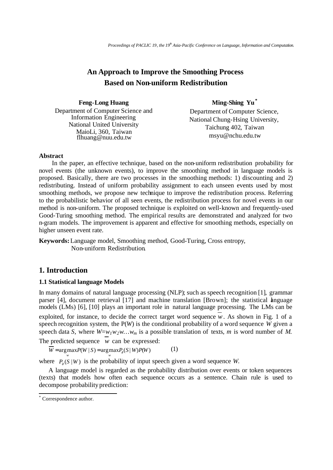# **An Approach to Improve the Smoothing Process Based on Non-uniform Redistribution**

| <b>Feng-Long Huang</b>                                                                                    | Ming-Shing Yu <sup>*</sup>                                                   |
|-----------------------------------------------------------------------------------------------------------|------------------------------------------------------------------------------|
| Department of Computer Science and                                                                        | Department of Computer Science,                                              |
| <b>Information Engineering</b><br>National United University<br>MaioLi, 360, Taiwan<br>flhuang@nuu.edu.tw | National Chung-Hsing University,<br>Taichung 402, Taiwan<br>msyu@nchu.edu.tw |

## **Abstract**

In the paper, an effective technique, based on the non-uniform redistribution probability for novel events (the unknown events), to improve the smoothing method in language models is proposed. Basically, there are two processes in the smoothing methods: 1) discounting and 2) redistributing. Instead of uniform probability assignment to each unseen events used by most smoothing methods, we propose new technique to improve the redistribution process. Referring to the probabilistic behavior of all seen events, the redistribution process for novel events in our method is non-uniform. The proposed technique is exploited on well-known and frequently-used Good-Turing smoothing method. The empirical results are demonstrated and analyzed for two n-gram models. The improvement is apparent and effective for smoothing methods, especially on higher unseen event rate.

**Keywords:**Language model, Smoothing method, Good-Turing, Cross entropy, Non-uniform Redistribution.

# **1. Introduction**

#### **1.1 Statistical language Models**

In many domains of natural language processing (NLP); such as speech recognition [1], grammar parser [4], document retrieval [17] and machine translation [Brown]; the statistical language models (LMs) [6], [10] plays an important role in natural language processing. The LMs can be exploited, for instance, to decide the correct target word sequence  $w$ . As shown in Fig. 1 of a speech recognition system, the P(*W*) is the conditional probability of a word sequence *W* given a speech data *S*, where *W*=*w1w2w… wm* is a possible translation of texts, *m* is word number of *M*. The predicted sequence *w* can be expressed:

 $\overline{W}$  = argmax*P*(*W* | *S*) = argmax*P*<sub>∂</sub>(*S* | *W*)*P*(*W*) (1)

where  $P_{\partial}(\mathbf{S} | \mathbf{W})$  is the probability of input speech given a word sequence *W*.

 A language model is regarded as the probability distribution over events or token sequences (texts) that models how often each sequence occurs as a sentence. Chain rule is used to decompose probability prediction:

 \* Correspondence author.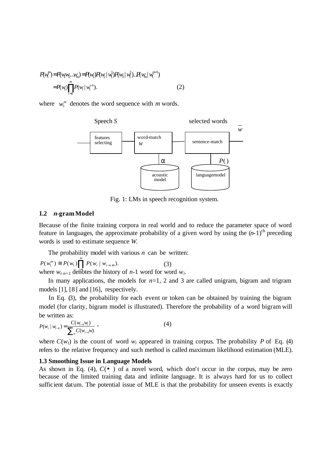$$
P(\mathbf{w}_{1}^{m}) = P(\mathbf{w}_{1}\mathbf{w}_{2}...\mathbf{w}_{m}) = P(\mathbf{w}_{1})P(\mathbf{w}_{2} | \mathbf{w}_{1}^{1})P(\mathbf{w}_{3} | \mathbf{w}_{1}^{2}).P(\mathbf{w}_{m} | \mathbf{w}_{1}^{m-1})
$$
  
=  $P(\mathbf{w}_{1}) \prod_{i=2}^{m} P(\mathbf{w}_{i} | \mathbf{w}_{1}^{i-1}).$  (2)

where  $w_1^m$  denotes the word sequence with *m* words.



Fig. 1: LMs in speech recognition system.

#### **1.2** *n***-gram Model**

Because of the finite training corpora in real world and to reduce the parameter space of word feature in languages, the approximate probability of a given word by using the  $(n-1)$ <sup>th</sup> preceding words is used to estimate sequence *W*.

The probability model with various *n* can be written:

 (3) where  $w_{i-n+1}$  denotes the history of *n*-1 word for word  $w_i$ .  $(w_1^m) \cong P(w_1) \prod^m P(w_i | w_{i-n+1}).$  $P(w_1^m) \cong P(w_1) \prod P(w_i \mid w$ 

In many applications, the models for  $n=1$ , 2 and 3 are called unigram, bigram and trigram models [1], [8] and [16], respectively.

 In Eq. (3), the probability for each event or token can be obtained by training the bigram model (for clarity, bigram model is illustrated). Therefore the probability of a word bigram will be written as:

$$
P(w_i | w_{i-1}) = \frac{C(w_{i-1}w_i)}{\sum_{w} C(w_{i-1}w)} ,
$$
 (4)

where  $C(w_i)$  is the count of word  $w_i$  appeared in training corpus. The probability P of Eq. (4) refers to the relative frequency and such method is called maximum likelihood estimation (MLE).

#### **1.3 Smoothing Issue in Language Models**

As shown in Eq. (4), *C*( ) of a novel word, which don't occur in the corpus, may be zero because of the limited training data and infinite language. It is always hard for us to collect sufficient datum. The potential issue of MLE is that the probability for unseen events is exactly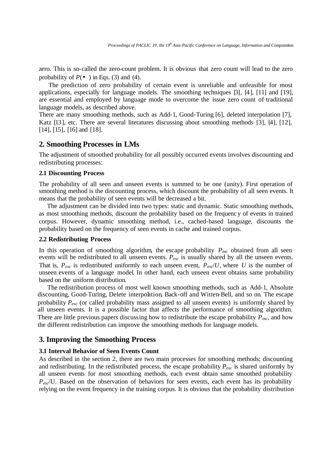zero. This is so-called the zero-count problem. It is obvious that zero count will lead to the zero probability of  $P( )$  in Eqs. (3) and (4).

The prediction of zero probability of certain event is unreliable and unfeasible for most applications, especially for language models. The smoothing techniques [3], [4], [11] and [19], are essential and employed by language mode to overcome the issue zero count of traditional language models, as described above.

There are many smoothing methods, such as Add-1, Good-Turing [6], deleted interpolation [7], Katz [13], etc. There are several literatures discussing about smoothing methods [3], [4], [12], [14], [15], [16] and [18].

## **2. Smoothing Processes in LMs**

The adjustment of smoothed probability for all possibly occurred events involves discounting and redistributing processes:

#### **2.1 Discounting Process**

The probability of all seen and unseen events is summed to be one (unity). First operation of smoothing method is the discounting process, which discount the probability of all seen events. It means that the probability of seen events will be decreased a bit.

 The adjustment can be divided into two types: static and dynamic. Static smoothing methods, as most smoothing methods, discount the probability based on the frequency of events in trained corpus. However, dynamic smoothing method, i.e., cached-based language, discounts the probability based on the frequency of seen events in cache and trained corpus.

#### **2.2 Redistributing Process**

In this operation of smoothing algorithm, the escape probability  $P_{\text{exc}}$  obtained from all seen events will be redistributed to all unseen events. *Pesc* is usually shared by all the unseen events. That is,  $P_{\text{esc}}$  is redistributed uniformly to each unseen event,  $P_{\text{esc}}/U$ , where *U* is the number of unseen events of a language model. In other hand, each unseen event obtains same probability based on the uniform distribution.

The redistribution process of most well known smoothing methods, such as Add-1, Absolute discounting, Good-Turing, Delete interpolation, Back-off and Witten-Bell, and so on*.* The escape probability *Pesc* (or called probability mass assigned to all unseen events) is uniformly shared by all unseen events. It is a possible factor that affects the performance of smoothing algorithm. There are little previous papers discussing how to redistribute the escape probability *Pesc*, and how the different redistribution can improve the smoothing methods for language models.

## **3. Improving the Smoothing Process**

## **3.1 Interval Behavior of Seen Events Count**

As described in the section 2, there are two main processes for smoothing methods; discounting and redistributing. In the redistributed process, the escape probability *Pesc* is shared uniformly by all unseen events for most smoothing methods, each event obtain same smoothed probability *Pesc*/U. Based on the observation of behaviors for seen events, each event has its probability relying on the event frequency in the training corpus. It is obvious that the probability distribution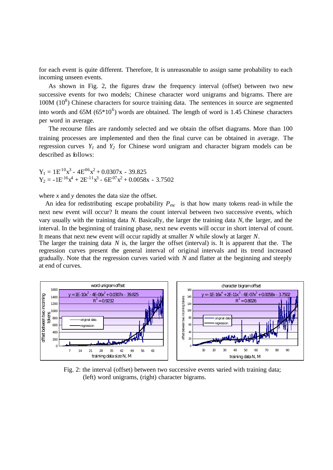for each event is quite different. Therefore, It is unreasonable to assign same probability to each incoming unseen events.

As shown in Fig. 2, the figures draw the frequency interval (offset) between two new successive events for two models; Chinese character word unigrams and bigrams. There are  $100M (10<sup>8</sup>)$  Chinese characters for source training data. The sentences in source are segmented into words and  $65M (65*10<sup>6</sup>)$  words are obtained. The length of word is 1.45 Chinese characters per word in average.

The recourse files are randomly selected and we obtain the offset diagrams. More than 100 training processes are implemented and then the final curve can be obtained in average. The regression curves  $Y_I$  and  $Y_2$  for Chinese word unigram and character bigram models can be described as follows:

 $Y_1 = 1E^{10}x^3 - 4E^{06}x^2 + 0.0307x - 39.825$  $Y_2 = -1E^{-16}x^4 + 2E^{-11}x^3 - 6E^{07}x^2 + 0.0058x - 3.7502$ 

where *x* and *y* denotes the data size the offset.

An idea for redistributing escape probability *Pesc* is that how many tokens read-in while the next new event will occur? It means the count interval between two successive events, which vary usually with the training data *N*. Basically, the larger the training data *N*, the larger, and the interval. In the beginning of training phase, next new events will occur in short interval of count. It means that next new event will occur rapidly at smaller *N* while slowly at larger *N*.

The larger the training data *N* is, the larger the offset (interval) is. It is apparent that the. The regression curves present the general interval of original intervals and its trend increased gradually. Note that the regression curves varied with *N* and flatter at the beginning and steeply at end of curves.



Fig. 2: the interval (offset) between two successive events varied with training data; (left) word unigrams, (right) character bigrams.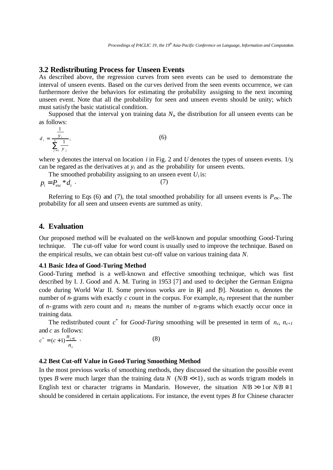## **3.2 Redistributing Process for Unseen Events**

As described above, the regression curves from seen events can be used to demonstrate the interval of unseen events. Based on the curves derived from the seen events occurrence, we can furthermore derive the behaviors for estimating the probability assigning to the next incoming unseen event. Note that all the probability for seen and unseen events should be unity; which must satisfy the basic statistical condition.

Supposed that the interval yon training data  $N_i$ , the distribution for all unseen events can be as follows:

(6)

$$
d_i = \frac{\frac{1}{y_i}}{\sum_{j=1}^U \frac{1}{y_j}},
$$

where y denotes the interval on location  $i$  in Fig. 2 and  $U$  denotes the types of unseen events.  $1/y_i$ can be regared as the derivatives at  $y_i$  and as the probability for unseen events.

The smoothed probability assigning to an unseen event 
$$
U_i
$$
 is:  
\n
$$
p_i = P_{esc} * d_i \tag{7}
$$

Referring to Eqs (6) and (7), the total smoothed probability for all unseen events is  $P_{\text{exc}}$ . The probability for all seen and unseen events are summed as unity.

## **4. Evaluation**

Our proposed method will be evaluated on the well-known and popular smoothing Good-Turing technique. The cut-off value for word count is usually used to improve the technique. Based on the empirical results, we can obtain best cut-off value on various training data *N*.

#### **4.1 Basic Idea of Good-Turing Method**

Good-Turing method is a well-known and effective smoothing technique, which was first described by I. J. Good and A. M. Turing in 1953 [7] and used to decipher the German Enigma code during World War II. Some previous works are in  $\mu$  and  $\mu$ . Notation  $n_c$  denotes the number of *n*-grams with exactly *c* count in the corpus. For example, *n0* represent that the number of *n*-grams with zero count and  $n<sub>l</sub>$  means the number of *n*-grams which exactly occur once in training data.

The redistributed count  $c^*$  for *Good-Turing* smoothing will be presented in term of  $n_c$ ,  $n_{c+1}$ and *c* as follows:

$$
c^* = (c+1)\frac{n_{c+1}}{n_c} \tag{8}
$$

## **4.2 Best Cut-off Value in Good-Turing Smoothing Method**

In the most previous works of smoothing methods, they discussed the situation the possible event types *B* were much larger than the training data *N*  $(N/B \ll 1)$ , such as words trigram models in English text or character trigrams in Mandarin. However, the situation  $N/B \gg 1$  or  $N/B \approx 1$ should be considered in certain applications. For instance, the event types *B* for Chinese character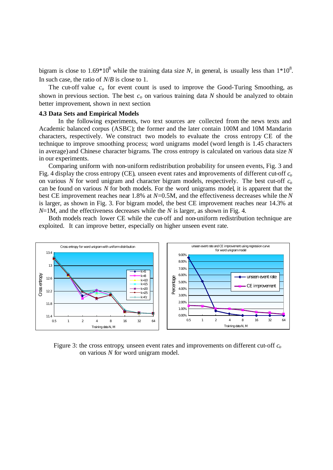bigram is close to  $1.69*10^8$  while the training data size N, in general, is usually less than  $1*10^8$ . In such case, the ratio of *N*/*B* is close to 1.

The cut-off value *c<sup>o</sup>* for event count is used to improve the Good-Turing Smoothing, as shown in previous section. The best *co* on various training data *N* should be analyzed to obtain better improvement, shown in next section.

#### **4.3 Data Sets and Empirical Models**

 In the following experiments, two text sources are collected from the news texts and Academic balanced corpus (ASBC); the former and the later contain 100M and 10M Mandarin characters, respectively. We construct two models to evaluate the cross entropy CE of the technique to improve smoothing process; word unigrams model (word length is 1.45 characters in average) and Chinese character bigrams. The cross entropy is calculated on various data size *N* in our experiments.

 Comparing uniform with non-uniform redistribution probability for unseen events, Fig. 3 and Fig. 4 display the cross entropy (CE), unseen event rates and improvements of different cut-off *c<sup>o</sup>* on various *N* for word unigram and character bigram models, respectively. The best cut-off *c<sup>o</sup>* can be found on various *N* for both models. For the word unigrams model, it is apparent that the best CE improvement reaches near 1.8% at *N*=0.5M, and the effectiveness decreases while the *N* is larger, as shown in Fig. 3. For bigram model, the best CE improvement reaches near 14.3% at *N*=1M, and the effectiveness decreases while the *N* is larger, as shown in Fig. 4.

Both models reach lower CE while the cut-off and non-uniform redistribution technique are exploited. It can improve better, especially on higher unseen event rate.



Figure 3: the cross entropy, unseen event rates and improvements on different cut-off *c<sup>o</sup>* on various *N* for word unigram model.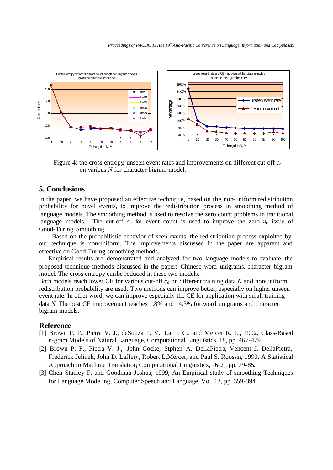

Figure 4: the cross entropy, unseen event rates and improvements on different cut-off *c<sup>o</sup>* on various *N* for character bigram model.

# **5. Conclusions**

In the paper, we have proposed an effective technique, based on the non-uniform redistribution probability for novel events, to improve the redistribution process in smoothing method of language models. The smoothing method is used to resolve the zero count problems in traditional language models. The cut-off  $c<sub>o</sub>$  for event count is used to improve the zero  $n<sub>c</sub>$  issue of Good-Turing Smoothing.

Based on the probabilistic behavior of seen events, the redistribution process exploited by our technique is non-uniform. The improvements discussed in the paper are apparent and effective on Good-Turing smoothing methods.

Empirical results are demonstrated and analyzed for two language models to evaluate the proposed technique methods discussed in the paper; Chinese word unigrams, character bigram model. The cross entropy can be reduced in these two models.

Both models reach lower CE for various cut-off *co* on different training data *N* and non-uniform redistribution probability are used. Two methods can improve better, especially on higher unseen event rate. In other word, we can improve especially the CE for application with small training data *N.* The best CE improvement reaches 1.8% and 14.3% for word unigrams and character bigram models.

#### **Reference**

- [1] Brown P. F., Pietra V. J., deSouza P. V., Lai J. C., and Mercer R. L., 1992, Class-Based n-gram Models of Natural Language, Computational Linguistics, 18, pp. 467-479.
- [2] Brown P. F., Pietra V. J., Jphn Cocke, Stphen A. DellaPietra, Vencent J. DellaPietra, Frederick Jelinek, John D. Laffery, Robert L.Mercer, and Paul S. Roossin, 1990, A Statistical Approach to Machine Translation, Computational Linguistics, 16(2), pp. 79-85.
- [3] Chen Stanley F. and Goodman Joshua, 1999, An Empirical study of smoothing Techniques for Language Modeling, Computer Speech and Language, Vol. 13, pp. 359-394.